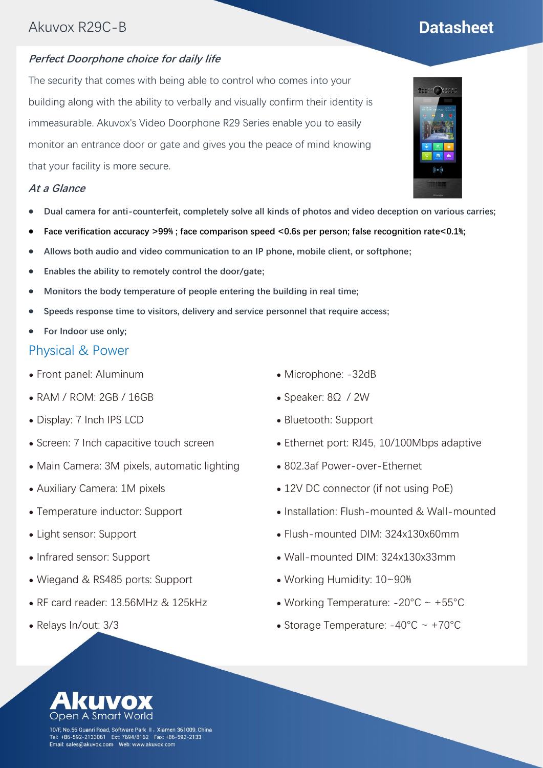### Akuvox R29C-B

# **Datasheet**

#### **Perfect Doorphone choice for daily life**

The security that comes with being able to control who comes into your building along with the ability to verbally and visually confirm their identity is immeasurable. Akuvox's Video Doorphone R29 Series enable you to easily monitor an entrance door or gate and gives you the peace of mind knowing that your facility is more secure.

#### **At a Glance**

- ⚫ **Dual camera for anti-counterfeit, completely solve all kinds of photos and video deception on various carries;**
- ⚫ **Face verification accuracy >99% ; face comparison speed <0.6s per person; false recognition rate<0.1%;**
- ⚫ **Allows both audio and video communication to an IP phone, mobile client, or softphone;**
- ⚫ **Enables the ability to remotely control the door/gate;**
- ⚫ **Monitors the body temperature of people entering the building in real time;**
- ⚫ **Speeds response time to visitors, delivery and service personnel that require access;**
- ⚫ **For Indoor use only;**

### Physical & Power

- ⚫ Front panel: Aluminum
- ⚫ RAM / ROM: 2GB / 16GB
- ⚫ Display: 7 Inch IPS LCD
- ⚫ Screen: 7 Inch capacitive touch screen
- Main Camera: 3M pixels, automatic lighting
- ⚫ Auxiliary Camera: 1M pixels
- ⚫ Temperature inductor: Support
- ⚫ Light sensor: Support
- ⚫ Infrared sensor: Support
- ⚫ Wiegand & RS485 ports: Support
- ⚫ RF card reader: 13.56MHz & 125kHz
- ⚫ Relays In/out: 3/3
- ⚫ Microphone: -32dB
- ⚫ Speaker: 8Ω / 2W
- ⚫ Bluetooth: Support
- ⚫ Ethernet port: RJ45, 10/100Mbps adaptive
- ⚫ 802.3af Power-over-Ethernet
- 12V DC connector (if not using PoE)
- ⚫ Installation: Flush-mounted & Wall-mounted
- ⚫ Flush-mounted DIM: 324x130x60mm
- ⚫ Wall-mounted DIM: 324x130x33mm
- ⚫ Working Humidity: 10~90%
- Working Temperature:  $-20^{\circ}$ C ~  $+55^{\circ}$ C
- Storage Temperature:  $-40^{\circ}$ C ~  $+70^{\circ}$ C



10/F, No.56 Guanri Road, Software Park II,Xiamen 361009, China +86-592-2133061 Ext: 7694/8162 Fax: +86-592-2133